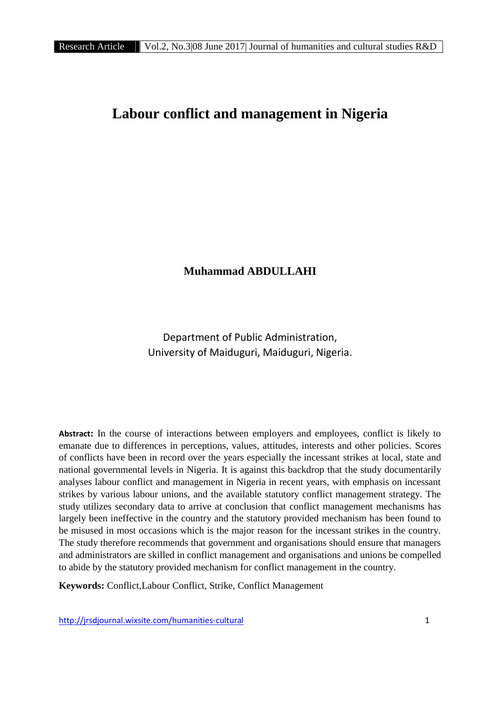# **Labour conflict and management in Nigeria**

# **Muhammad ABDULLAHI**

Department of Public Administration, University of Maiduguri, Maiduguri, Nigeria.

**Abstract:** In the course of interactions between employers and employees, conflict is likely to emanate due to differences in perceptions, values, attitudes, interests and other policies. Scores of conflicts have been in record over the years especially the incessant strikes at local, state and national governmental levels in Nigeria. It is against this backdrop that the study documentarily analyses labour conflict and management in Nigeria in recent years, with emphasis on incessant strikes by various labour unions, and the available statutory conflict management strategy. The study utilizes secondary data to arrive at conclusion that conflict management mechanisms has largely been ineffective in the country and the statutory provided mechanism has been found to be misused in most occasions which is the major reason for the incessant strikes in the country. The study therefore recommends that government and organisations should ensure that managers and administrators are skilled in conflict management and organisations and unions be compelled to abide by the statutory provided mechanism for conflict management in the country.

**Keywords:** Conflict,Labour Conflict, Strike, Conflict Management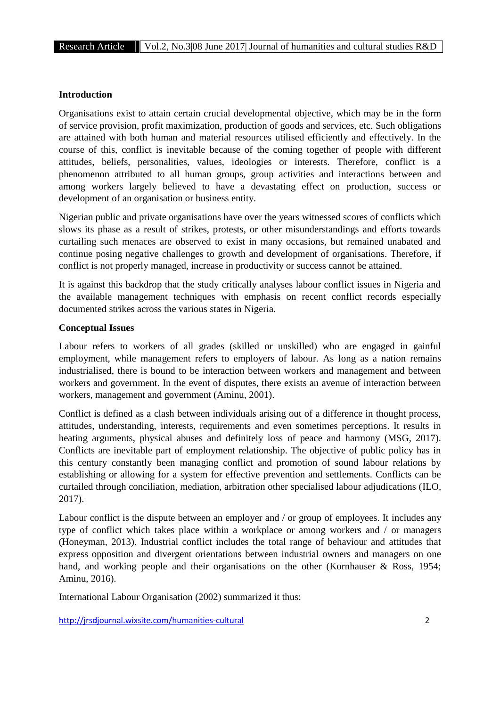#### **Introduction**

Organisations exist to attain certain crucial developmental objective, which may be in the form of service provision, profit maximization, production of goods and services, etc. Such obligations are attained with both human and material resources utilised efficiently and effectively. In the course of this, conflict is inevitable because of the coming together of people with different attitudes, beliefs, personalities, values, ideologies or interests. Therefore, conflict is a phenomenon attributed to all human groups, group activities and interactions between and among workers largely believed to have a devastating effect on production, success or development of an organisation or business entity.

Nigerian public and private organisations have over the years witnessed scores of conflicts which slows its phase as a result of strikes, protests, or other misunderstandings and efforts towards curtailing such menaces are observed to exist in many occasions, but remained unabated and continue posing negative challenges to growth and development of organisations. Therefore, if conflict is not properly managed, increase in productivity or success cannot be attained.

It is against this backdrop that the study critically analyses labour conflict issues in Nigeria and the available management techniques with emphasis on recent conflict records especially documented strikes across the various states in Nigeria.

#### **Conceptual Issues**

Labour refers to workers of all grades (skilled or unskilled) who are engaged in gainful employment, while management refers to employers of labour. As long as a nation remains industrialised, there is bound to be interaction between workers and management and between workers and government. In the event of disputes, there exists an avenue of interaction between workers, management and government (Aminu, 2001).

Conflict is defined as a clash between individuals arising out of a difference in thought process, attitudes, understanding, interests, requirements and even sometimes perceptions. It results in heating arguments, physical abuses and definitely loss of peace and harmony (MSG, 2017). Conflicts are inevitable part of employment relationship. The objective of public policy has in this century constantly been managing conflict and promotion of sound labour relations by establishing or allowing for a system for effective prevention and settlements. Conflicts can be curtailed through conciliation, mediation, arbitration other specialised labour adjudications (ILO, 2017).

Labour conflict is the dispute between an employer and / or group of employees. It includes any type of conflict which takes place within a workplace or among workers and / or managers (Honeyman, 2013). Industrial conflict includes the total range of behaviour and attitudes that express opposition and divergent orientations between industrial owners and managers on one hand, and working people and their organisations on the other (Kornhauser & Ross, 1954; Aminu, 2016).

International Labour Organisation (2002) summarized it thus: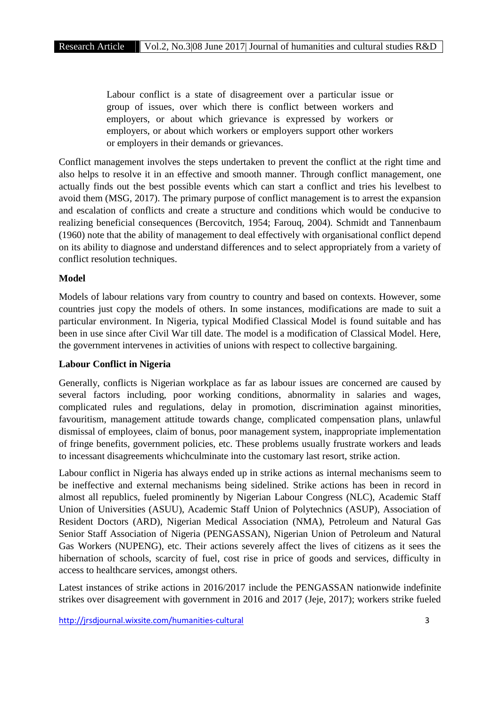Labour conflict is a state of disagreement over a particular issue or group of issues, over which there is conflict between workers and employers, or about which grievance is expressed by workers or employers, or about which workers or employers support other workers or employers in their demands or grievances.

Conflict management involves the steps undertaken to prevent the conflict at the right time and also helps to resolve it in an effective and smooth manner. Through conflict management, one actually finds out the best possible events which can start a conflict and tries his levelbest to avoid them (MSG, 2017). The primary purpose of conflict management is to arrest the expansion and escalation of conflicts and create a structure and conditions which would be conducive to realizing beneficial consequences (Bercovitch, 1954; Farouq, 2004). Schmidt and Tannenbaum (1960) note that the ability of management to deal effectively with organisational conflict depend on its ability to diagnose and understand differences and to select appropriately from a variety of conflict resolution techniques.

### **Model**

Models of labour relations vary from country to country and based on contexts. However, some countries just copy the models of others. In some instances, modifications are made to suit a particular environment. In Nigeria, typical Modified Classical Model is found suitable and has been in use since after Civil War till date. The model is a modification of Classical Model. Here, the government intervenes in activities of unions with respect to collective bargaining.

### **Labour Conflict in Nigeria**

Generally, conflicts is Nigerian workplace as far as labour issues are concerned are caused by several factors including, poor working conditions, abnormality in salaries and wages, complicated rules and regulations, delay in promotion, discrimination against minorities, favouritism, management attitude towards change, complicated compensation plans, unlawful dismissal of employees, claim of bonus, poor management system, inappropriate implementation of fringe benefits, government policies, etc. These problems usually frustrate workers and leads to incessant disagreements whichculminate into the customary last resort, strike action.

Labour conflict in Nigeria has always ended up in strike actions as internal mechanisms seem to be ineffective and external mechanisms being sidelined. Strike actions has been in record in almost all republics, fueled prominently by Nigerian Labour Congress (NLC), Academic Staff Union of Universities (ASUU), Academic Staff Union of Polytechnics (ASUP), Association of Resident Doctors (ARD), Nigerian Medical Association (NMA), Petroleum and Natural Gas Senior Staff Association of Nigeria (PENGASSAN), Nigerian Union of Petroleum and Natural Gas Workers (NUPENG), etc. Their actions severely affect the lives of citizens as it sees the hibernation of schools, scarcity of fuel, cost rise in price of goods and services, difficulty in access to healthcare services, amongst others.

Latest instances of strike actions in 2016/2017 include the PENGASSAN nationwide indefinite strikes over disagreement with government in 2016 and 2017 (Jeje, 2017); workers strike fueled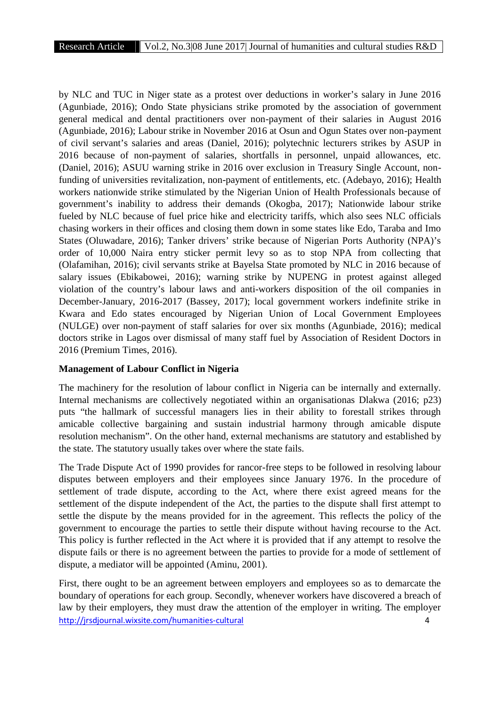by NLC and TUC in Niger state as a protest over deductions in worker's salary in June 2016 (Agunbiade, 2016); Ondo State physicians strike promoted by the association of government general medical and dental practitioners over non-payment of their salaries in August 2016 (Agunbiade, 2016); Labour strike in November 2016 at Osun and Ogun States over non-payment of civil servant's salaries and areas (Daniel, 2016); polytechnic lecturers strikes by ASUP in 2016 because of non-payment of salaries, shortfalls in personnel, unpaid allowances, etc. (Daniel, 2016); ASUU warning strike in 2016 over exclusion in Treasury Single Account, nonfunding of universities revitalization, non-payment of entitlements, etc. (Adebayo, 2016); Health workers nationwide strike stimulated by the Nigerian Union of Health Professionals because of government's inability to address their demands (Okogba, 2017); Nationwide labour strike fueled by NLC because of fuel price hike and electricity tariffs, which also sees NLC officials chasing workers in their offices and closing them down in some states like Edo, Taraba and Imo States (Oluwadare, 2016); Tanker drivers' strike because of Nigerian Ports Authority (NPA)'s order of 10,000 Naira entry sticker permit levy so as to stop NPA from collecting that (Olafamihan, 2016); civil servants strike at Bayelsa State promoted by NLC in 2016 because of salary issues (Ebikabowei, 2016); warning strike by NUPENG in protest against alleged violation of the country's labour laws and anti-workers disposition of the oil companies in December-January, 2016-2017 (Bassey, 2017); local government workers indefinite strike in Kwara and Edo states encouraged by Nigerian Union of Local Government Employees (NULGE) over non-payment of staff salaries for over six months (Agunbiade, 2016); medical doctors strike in Lagos over dismissal of many staff fuel by Association of Resident Doctors in 2016 (Premium Times, 2016).

### **Management of Labour Conflict in Nigeria**

The machinery for the resolution of labour conflict in Nigeria can be internally and externally. Internal mechanisms are collectively negotiated within an organisationas Dlakwa (2016; p23) puts "the hallmark of successful managers lies in their ability to forestall strikes through amicable collective bargaining and sustain industrial harmony through amicable dispute resolution mechanism". On the other hand, external mechanisms are statutory and established by the state. The statutory usually takes over where the state fails.

The Trade Dispute Act of 1990 provides for rancor-free steps to be followed in resolving labour disputes between employers and their employees since January 1976. In the procedure of settlement of trade dispute, according to the Act, where there exist agreed means for the settlement of the dispute independent of the Act, the parties to the dispute shall first attempt to settle the dispute by the means provided for in the agreement. This reflects the policy of the government to encourage the parties to settle their dispute without having recourse to the Act. This policy is further reflected in the Act where it is provided that if any attempt to resolve the dispute fails or there is no agreement between the parties to provide for a mode of settlement of dispute, a mediator will be appointed (Aminu, 2001).

http://jrsdjournal.wixsite.com/humanities-cultural 4 First, there ought to be an agreement between employers and employees so as to demarcate the boundary of operations for each group. Secondly, whenever workers have discovered a breach of law by their employers, they must draw the attention of the employer in writing. The employer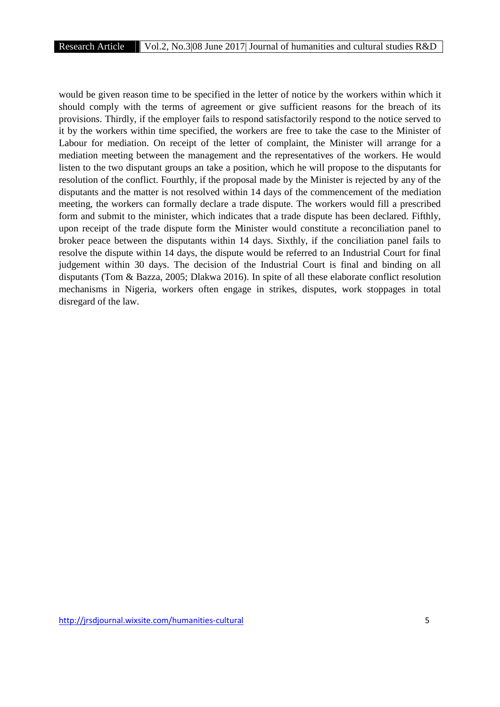would be given reason time to be specified in the letter of notice by the workers within which it should comply with the terms of agreement or give sufficient reasons for the breach of its provisions. Thirdly, if the employer fails to respond satisfactorily respond to the notice served to it by the workers within time specified, the workers are free to take the case to the Minister of Labour for mediation. On receipt of the letter of complaint, the Minister will arrange for a mediation meeting between the management and the representatives of the workers. He would listen to the two disputant groups an take a position, which he will propose to the disputants for resolution of the conflict. Fourthly, if the proposal made by the Minister is rejected by any of the disputants and the matter is not resolved within 14 days of the commencement of the mediation meeting, the workers can formally declare a trade dispute. The workers would fill a prescribed form and submit to the minister, which indicates that a trade dispute has been declared. Fifthly, upon receipt of the trade dispute form the Minister would constitute a reconciliation panel to broker peace between the disputants within 14 days. Sixthly, if the conciliation panel fails to resolve the dispute within 14 days, the dispute would be referred to an Industrial Court for final judgement within 30 days. The decision of the Industrial Court is final and binding on all disputants (Tom & Bazza, 2005; Dlakwa 2016). In spite of all these elaborate conflict resolution mechanisms in Nigeria, workers often engage in strikes, disputes, work stoppages in total disregard of the law.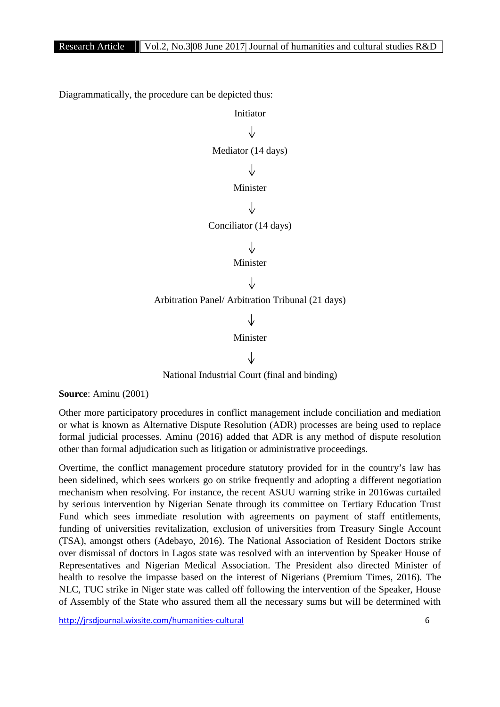Diagrammatically, the procedure can be depicted thus:



National Industrial Court (final and binding)

**Source**: Aminu (2001)

Other more participatory procedures in conflict management include conciliation and mediation or what is known as Alternative Dispute Resolution (ADR) processes are being used to replace formal judicial processes. Aminu (2016) added that ADR is any method of dispute resolution other than formal adjudication such as litigation or administrative proceedings.

Overtime, the conflict management procedure statutory provided for in the country's law has been sidelined, which sees workers go on strike frequently and adopting a different negotiation mechanism when resolving. For instance, the recent ASUU warning strike in 2016was curtailed by serious intervention by Nigerian Senate through its committee on Tertiary Education Trust Fund which sees immediate resolution with agreements on payment of staff entitlements, funding of universities revitalization, exclusion of universities from Treasury Single Account (TSA), amongst others (Adebayo, 2016). The National Association of Resident Doctors strike over dismissal of doctors in Lagos state was resolved with an intervention by Speaker House of Representatives and Nigerian Medical Association. The President also directed Minister of health to resolve the impasse based on the interest of Nigerians (Premium Times, 2016). The NLC, TUC strike in Niger state was called off following the intervention of the Speaker, House of Assembly of the State who assured them all the necessary sums but will be determined with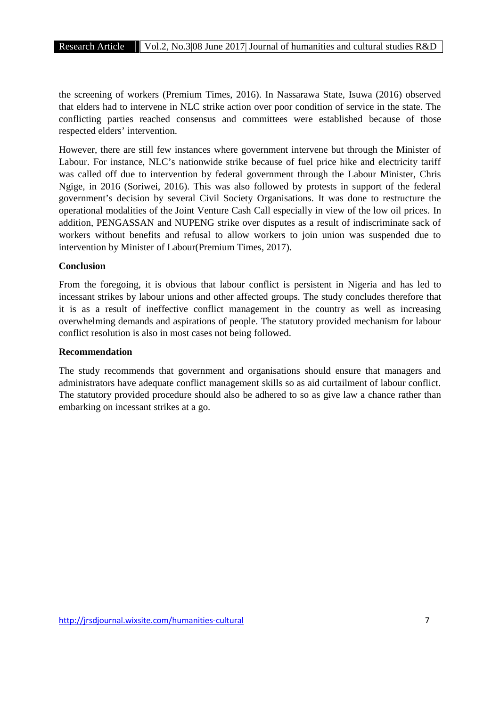the screening of workers (Premium Times, 2016). In Nassarawa State, Isuwa (2016) observed that elders had to intervene in NLC strike action over poor condition of service in the state. The conflicting parties reached consensus and committees were established because of those respected elders' intervention.

However, there are still few instances where government intervene but through the Minister of Labour. For instance, NLC's nationwide strike because of fuel price hike and electricity tariff was called off due to intervention by federal government through the Labour Minister, Chris Ngige, in 2016 (Soriwei, 2016). This was also followed by protests in support of the federal government's decision by several Civil Society Organisations. It was done to restructure the operational modalities of the Joint Venture Cash Call especially in view of the low oil prices. In addition, PENGASSAN and NUPENG strike over disputes as a result of indiscriminate sack of workers without benefits and refusal to allow workers to join union was suspended due to intervention by Minister of Labour(Premium Times, 2017).

## **Conclusion**

From the foregoing, it is obvious that labour conflict is persistent in Nigeria and has led to incessant strikes by labour unions and other affected groups. The study concludes therefore that it is as a result of ineffective conflict management in the country as well as increasing overwhelming demands and aspirations of people. The statutory provided mechanism for labour conflict resolution is also in most cases not being followed.

### **Recommendation**

The study recommends that government and organisations should ensure that managers and administrators have adequate conflict management skills so as aid curtailment of labour conflict. The statutory provided procedure should also be adhered to so as give law a chance rather than embarking on incessant strikes at a go.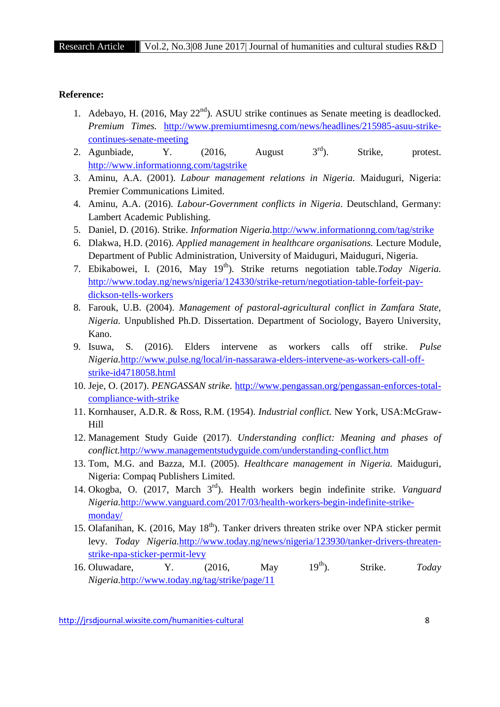#### **Reference:**

- 1. Adebayo, H. (2016, May  $22<sup>nd</sup>$ ). ASUU strike continues as Senate meeting is deadlocked. *Premium Times.* http://www.premiumtimesng.com/news/headlines/215985-asuu-strike continues-senate-meeting
- 2. Agunbiade,  $Y$ . (2016, August  $3<sup>rd</sup>$ ). Strike, protest. http://www.informationng.com/tagstrike
- 3. Aminu, A.A. (2001). *Labour management relations in Nigeria.* Maiduguri, Nigeria: Premier Communications Limited.
- 4. Aminu, A.A. (2016). *Labour-Government conflicts in Nigeria.* Deutschland, Germany: Lambert Academic Publishing.
- 5. Daniel, D. (2016). Strike. *Information Nigeria.*http://www.informationng.com/tag/strike
- 6. Dlakwa, H.D. (2016). *Applied management in healthcare organisations.* Lecture Module, Department of Public Administration, University of Maiduguri, Maiduguri, Nigeria.
- 7. Ebikabowei, I. (2016, May 19<sup>th</sup>). Strike returns negotiation table.*Today Nigeria*. http://www.today.ng/news/nigeria/124330/strike-return/negotiation-table-forfeit-pay dickson-tells-workers
- 8. Farouk, U.B. (2004). *Management of pastoral-agricultural conflict in Zamfara State, Nigeria.* Unpublished Ph.D. Dissertation. Department of Sociology, Bayero University, Kano.
- 9. Isuwa, S. (2016). Elders intervene as workers calls off strike. *Pulse Nigeria.*http://www.pulse.ng/local/in-nassarawa-elders-intervene-as-workers-call-off strike-id4718058.html
- 10. Jeje, O. (2017). *PENGASSAN strike.* http://www.pengassan.org/pengassan-enforces-total compliance-with-strike
- 11. Kornhauser, A.D.R. & Ross, R.M. (1954). *Industrial conflict.* New York, USA:McGraw- Hill
- 12. Management Study Guide (2017). *Understanding conflict: Meaning and phases of conflict.*http://www.managementstudyguide.com/understanding-conflict.htm
- 13. Tom, M.G. and Bazza, M.I. (2005). *Healthcare management in Nigeria.* Maiduguri, Nigeria: Compaq Publishers Limited.
- 14. Okogba, O. (2017, March 3rd). Health workers begin indefinite strike. *Vanguard Nigeria.*http://www.vanguard.com/2017/03/health-workers-begin-indefinite-strike monday/
- 15. Olafanihan, K. (2016, May  $18<sup>th</sup>$ ). Tanker drivers threaten strike over NPA sticker permit levy. *Today Nigeria.http://www.today.ng/news/nigeria/123930/tanker-drivers-threaten*strike-npa-sticker-permit-levy
- 16. Oluwadare, Y. (2016, May 19th). Strike. *Today Nigeria.*http://www.today.ng/tag/strike/page/11